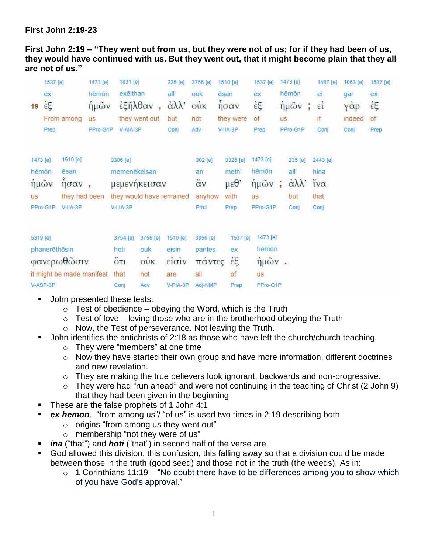## **First John 2:19-23**

**First John 2:19 – "They went out from us, but they were not of us; for if they had been of us, they would have continued with us. But they went out, that it might become plain that they all are not of us."**

| 1537 [e]<br>ex<br>$\dot{\epsilon}$<br>19<br>Prep     | From among                                                    | 1473 [e]<br>hēmōn<br>ήμων<br><b>US</b><br>PPro-G1P | 1831 [e]<br>exēlthan<br>$\frac{2}{3}$ ξηλθαν<br>V-AIA-3P         | they went out                               | 235 [e]<br>all'<br>$\alpha\lambda\lambda$<br>but<br>Conj | 3756 [e]<br>ouk<br>$\ddot{\text{o}}$ uk<br>not<br>Adv | 1510 [e]<br>ēsan<br>$\int$ <sub>ησαν</sub><br>they were<br>V-IIA-3P | 1537 [e]<br>ex<br>έξ<br>οf<br>Prep                     | <b>US</b> | 1473 [e]<br>hēmōn<br>ήμων<br>ŧ<br>PPro-G1P              | 1487 [e]<br>ei<br>$\epsilon i$<br>if<br>Conj | 1063 [e]<br>gar<br>γάρ<br>indeed<br>Conj | $1537$ [e]<br>ex<br>έξ<br>of<br>Prep |
|------------------------------------------------------|---------------------------------------------------------------|----------------------------------------------------|------------------------------------------------------------------|---------------------------------------------|----------------------------------------------------------|-------------------------------------------------------|---------------------------------------------------------------------|--------------------------------------------------------|-----------|---------------------------------------------------------|----------------------------------------------|------------------------------------------|--------------------------------------|
| 1473 [e]<br>hēmōn<br>ήμῶν<br><b>US</b><br>PPro-G1P   | 1510 [e]<br><b>esan</b><br>ησαν<br>they had been<br>$V-HA-3P$ | $\blacksquare$                                     | 3306 [e]<br>memenēkeisan<br>they would have remained<br>V-LIA-3P | μεμενηκεισαν                                |                                                          | 302 [e]<br>an<br>$\ddot{\alpha}$ v<br>anyhow<br>Prtci | 3326 [e]<br>meth'<br>$\mu \varepsilon \theta$<br>with<br>Prep       | 1473 [e]<br>hēmōn<br>ήμῶν<br><b>US</b><br>PPro-G1P     |           | 235 [e]<br>all<br>$\alpha\lambda\lambda$<br>but<br>Conj | 2443 [e]<br>hina<br>ίνα<br>that<br>Con       |                                          |                                      |
| 5319 [e]<br>phanerothosin<br>φανερωθώσιν<br>V-ASP-3P | it might be made manifest                                     |                                                    | 3754 [e]<br>hoti<br>$5\tau_1$<br>that<br>Conj                    | 3756 [e]<br>ouk<br>$\vec{ow}$<br>not<br>Adv | 1510 [e]<br>eisin.<br>είσιν<br>are<br>V-PIA-3P           | 3956 [e]<br>pantes<br>πάντες<br>all<br>Adj-NMP        | 1537 [e]<br>ex<br>έξ<br>of<br>Prep                                  | 1473 [e]<br>hēmōn<br>$ημ$ ῶν.<br><b>US</b><br>PPro-G1P |           |                                                         |                                              |                                          |                                      |

- John presented these tests:
	- $\circ$  Test of obedience obeying the Word, which is the Truth
	- $\circ$  Test of love loving those who are in the brotherhood obeying the Truth
	- o Now, the Test of perseverance. Not leaving the Truth.
- John identifies the antichrists of 2:18 as those who have left the church/church teaching.
	- o They were "members" at one time
	- o Now they have started their own group and have more information, different doctrines and new revelation.
	- o They are making the true believers look ignorant, backwards and non-progressive.
	- $\circ$  They were had "run ahead" and were not continuing in the teaching of Christ (2 John 9) that they had been given in the beginning
- These are the false prophets of 1 John 4:1
- *ex hemon*, "from among us"/ "of us" is used two times in 2:19 describing both
	- o origins "from among us they went out"
	- o membership "not they were of us"
- *ina* ("that") and *hoti* ("that") in second half of the verse are
- God allowed this division, this confusion, this falling away so that a division could be made between those in the truth (good seed) and those not in the truth (the weeds). As in:
	- $\circ$  1 Corinthians 11:19 "No doubt there have to be differences among you to show which of you have God's approval."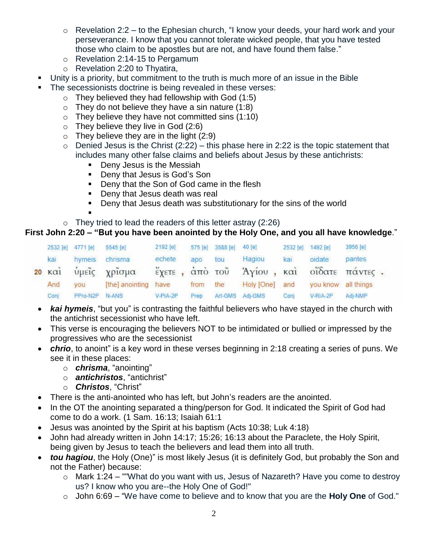- o Revelation 2:2 to the Ephesian church, "I know your deeds, your hard work and your perseverance. I know that you cannot tolerate wicked people, that you have tested those who claim to be apostles but are not, and have found them false."
- o Revelation 2:14-15 to Pergamum
- o Revelation 2:20 to Thyatira,
- Unity is a priority, but commitment to the truth is much more of an issue in the Bible
	- The secessionists doctrine is being revealed in these verses:
		- $\circ$  They believed they had fellowship with God (1:5)
		- $\circ$  They do not believe they have a sin nature (1:8)
		- $\circ$  They believe they have not committed sins (1:10)
		- o They believe they live in God (2:6)
		- $\circ$  They believe they are in the light (2:9)
		- $\circ$  Denied Jesus is the Christ (2:22) this phase here in 2:22 is the topic statement that includes many other false claims and beliefs about Jesus by these antichrists:
			- **Deny Jesus is the Messiah**
			- **Deny that Jesus is God's Son**
			- Deny that the Son of God came in the flesh
			- **Deny that Jesus death was real**
			- **Deny that Jesus death was substitutionary for the sins of the world**
		- .  $\circ$  They tried to lead the readers of this letter astray (2:26)

# **First John 2:20 – "But you have been anointed by the Holy One, and you all have knowledge**."

|                      |     | 5545 [e]          |                                                  |                                              |     |                |                                    |                | 3956 [e]          |                                                                 |
|----------------------|-----|-------------------|--------------------------------------------------|----------------------------------------------|-----|----------------|------------------------------------|----------------|-------------------|-----------------------------------------------------------------|
| kai                  |     |                   | echete                                           | apo                                          | tou | Hagiou         | kai                                | oidate         | pantes            |                                                                 |
| $20 \times \alpha i$ |     |                   |                                                  |                                              |     |                |                                    |                |                   |                                                                 |
| And                  | you |                   |                                                  | from                                         |     |                |                                    |                |                   |                                                                 |
| Conj                 |     |                   |                                                  | Prep                                         |     |                | Coni                               | V-RIA-2P       | Adj-NMP           |                                                                 |
|                      |     | 2532 [e] 4771 [e] | hymeis chrisma<br>ύμεῖς χρῖσμα<br>PPro-N2P N-ANS | 2192 [e]<br>[the] anointing have<br>V-PIA-2P |     | 575 [e]<br>the | 3588 [e] 40 [e]<br>Art-GMS Adj-GMS | Holy [One] and | 2532 [e] 1492 [e] | έχετε, άπὸ τοῦ Άγίου, καὶ οἴδατε πάντες.<br>you know all things |

- *kai hymeis*, "but you" is contrasting the faithful believers who have stayed in the church with the antichrist secessionist who have left.
- This verse is encouraging the believers NOT to be intimidated or bullied or impressed by the progressives who are the secessionist
- *chrio*, to anoint" is a key word in these verses beginning in 2:18 creating a series of puns. We see it in these places:
	- o *chrisma*, "anointing"
	- o *antichristos*, "antichrist"
	- o *Christos*, "Christ"
- There is the anti-anointed who has left, but John's readers are the anointed.
- In the OT the anointing separated a thing/person for God. It indicated the Spirit of God had come to do a work. (1 Sam. 16:13; Isaiah 61:1
- Jesus was anointed by the Spirit at his baptism (Acts 10:38; Luk 4:18)
- John had already written in John 14:17; 15:26; 16:13 about the Paraclete, the Holy Spirit, being given by Jesus to teach the believers and lead them into all truth.
- *tou hagiou*, the Holy (One)" is most likely Jesus (it is definitely God, but probably the Son and not the Father) because:
	- o Mark 1:24 ""What do you want with us, Jesus of Nazareth? Have you come to destroy us? I know who you are--the Holy One of God!"
	- o John 6:69 "We have come to believe and to know that you are the **Holy One** of God."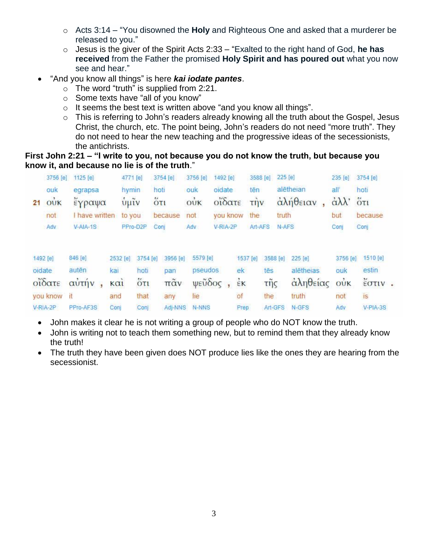- o Acts 3:14 "You disowned the **Holy** and Righteous One and asked that a murderer be released to you."
- o Jesus is the giver of the Spirit Acts 2:33 "Exalted to the right hand of God, **he has received** from the Father the promised **Holy Spirit and has poured out** what you now see and hear."
- "And you know all things" is here *kai iodate pantes*.
	- $\circ$  The word "truth" is supplied from 2:21.
	- o Some texts have "all of you know"
	- o It seems the best text is written above "and you know all things".
	- o This is referring to John's readers already knowing all the truth about the Gospel, Jesus Christ, the church, etc. The point being, John's readers do not need "more truth". They do not need to hear the new teaching and the progressive ideas of the secessionists, the antichrists.

#### **First John 2:21 – "I write to you, not because you do not know the truth, but because you know it, and because no lie is of the truth**."

|                    | 3756 [e]                               | 1125 [e]         | 4771 [e]                              |                  | 3754 [e] | 3756 [e]            | 1492 [e] |                | 3588 [e]        | 225 [e]              | 235 [e]         | 3754 [e]            |  |
|--------------------|----------------------------------------|------------------|---------------------------------------|------------------|----------|---------------------|----------|----------------|-----------------|----------------------|-----------------|---------------------|--|
|                    | ouk                                    | egrapsa          | hymin                                 |                  | hoti     | ouk                 | oidate   | tēn            |                 | alētheian            | all'            | hoti                |  |
| 21                 | $\dot{\text{o}}\dot{\text{U}}\text{K}$ | έγραψα           | $\frac{1}{\mathbf{U}}\mathbf{\mu}$ ιν |                  | 5T1      | OUK                 | οΐδατε   | $T\ddot{H}V$   |                 | αλήθειαν             | άλλ' ότι        |                     |  |
|                    | not                                    | I have written   | to you                                |                  | because  | not                 | you know | the            |                 | truth                | but             | because             |  |
|                    | Adv                                    | $V-AIA-1S$       |                                       | PPro-D2P         | Coni     | Adv                 | V-RIA-2P |                | Art-AFS         | N-AFS                | Conj            | Conj                |  |
| 1492 [e]<br>oidate |                                        | 846 [e]<br>autēn | 2532 [e]<br>kai                       | 3754 [e]<br>hoti | 3956 [e] | 5579 [e]<br>pseudos |          | 1537 [e]<br>ek | 3588 [e]<br>tēs | 225 [e]<br>alētheias | 3756 [e]<br>ouk | 1510 [e]<br>estin   |  |
|                    |                                        |                  |                                       |                  | pan      |                     |          |                |                 |                      |                 |                     |  |
|                    | οΐδατε                                 | αὐτήν            | $k\alpha i$                           | $\overline{6}π$  | πᾶν      | ψεὖδος              |          | $\epsilon$ K   | τῆς             | άληθείας             | $\vec{ow}$      | $\frac{v}{2}$ στιν. |  |
|                    | you know                               | it               | and                                   | that             | any      | lie                 |          | of             | the             | truth                | not             | is                  |  |
|                    | V-RIA-2P                               | PPro-AF3S        | Coni                                  | Con              | Adi-NNS  | <b>N-NNS</b>        |          | Prep           | Art-GFS         | N-GFS                | Adv             | $V-PIA-3S$          |  |

- John makes it clear he is not writing a group of people who do NOT know the truth.
- John is writing not to teach them something new, but to remind them that they already know the truth!
- The truth they have been given does NOT produce lies like the ones they are hearing from the secessionist.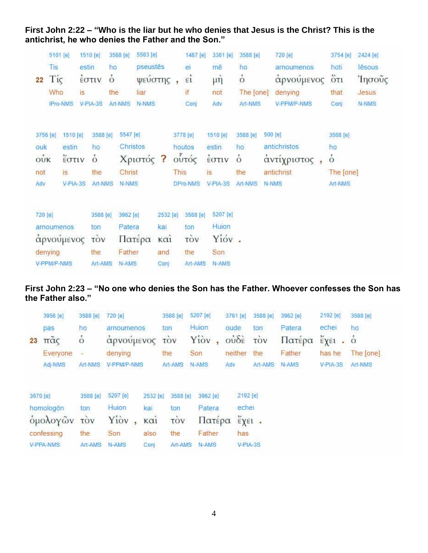| 22                                   | 5101 [e]<br>Tis<br>Tíc<br>Who | <b>IPro-NMS</b>                               | 1510 [e]<br>estin<br>έστιν<br>is.<br>V-PIA-3S | ho<br>$\dot{\circ}$<br>the                             | 3588 [e]<br>Art-NMS                            | 5583 [e]<br>pseustēs<br>ψεύστης<br>liar<br>N-NMS |                                             | 1487 [e]<br>ei<br>εí<br>if<br>Conj |                                          | 3361 [e]<br>mē<br>$\mu \dot{\eta}$<br>not<br>Adv | 3588 [e]<br>ho<br>$\dot{\circ}$<br>The [one]<br>Art-NMS |  | 720 [e]<br>arnoumenos<br>αρνούμενος<br>denying<br>V-PPM/P-NMS  | 3754 [e]<br>hoti<br>$5\tau$<br>that<br>Conj             | 2424 [e]<br>lēsous<br>Ίησοῦς<br>Jesus<br>N-NMS |
|--------------------------------------|-------------------------------|-----------------------------------------------|-----------------------------------------------|--------------------------------------------------------|------------------------------------------------|--------------------------------------------------|---------------------------------------------|------------------------------------|------------------------------------------|--------------------------------------------------|---------------------------------------------------------|--|----------------------------------------------------------------|---------------------------------------------------------|------------------------------------------------|
| 3756 [e]<br>ouk<br>oùk<br>not<br>Adv |                               | 1510 [e]<br>estin<br>έστιν<br>is.<br>V-PIA-3S |                                               | 3588 [e]<br>ho<br>$\dot{\circ}$<br>the<br>Art-NMS      | 5547 [e]<br>Christos<br>Christ<br><b>N-NMS</b> | Χριστός ?                                        |                                             | <b>This</b>                        | 3778 [e]<br>houtos<br>ούτός<br>DPro-NMS  | 1510 [e]<br>estin<br>έστιν<br>is.<br>$V-PIA-3S$  | 3588 [e]<br>ho<br>$\dot{\circ}$<br>the<br>Art-NMS       |  | 500 [e]<br>antichristos<br>άντίχριστος,<br>antichrist<br>N-NMS | 3588 [e]<br>ho<br>$\dot{\circ}$<br>The [one]<br>Art-NMS |                                                |
| 720 [e]                              | denying<br>V-PPM/P-NMS        | arnoumenos<br>αρνούμενος                      |                                               | 3588 [e]<br>ton<br><b>TÒV</b><br>the<br><b>Art-AMS</b> | 3962 [e]<br>Patera<br>Father<br>N-AMS          | Πατέρα                                           | 2532 [e]<br>kai<br>$k\alpha$<br>and<br>Conj |                                    | 3588 [e]<br>ton<br>τòν<br>the<br>Art-AMS | 5207 [e]<br>Huion<br>Yióv.<br>Son<br>N-AMS       |                                                         |  |                                                                |                                                         |                                                |

### **First John 2:22 – "Who is the liar but he who denies that Jesus is the Christ? This is the antichrist, he who denies the Father and the Son."**

### **First John 2:23 – "No one who denies the Son has the Father. Whoever confesses the Son has the Father also."**

|    | 3956 [e]              | 3588 [e]            | 720 [e]                  |          | 3588 [e]               | 5207 [e]       | 3761 [e]                                    | 3588 [e]   | 3962 [e]         | 2192 [e]                                                      | 3588 [e]  |
|----|-----------------------|---------------------|--------------------------|----------|------------------------|----------------|---------------------------------------------|------------|------------------|---------------------------------------------------------------|-----------|
| 23 | pas<br>$π\tilde{α}$ ς | ho<br>$\dot{\circ}$ | arnoumenos<br>αρνούμενος | ton      | <b>TOV</b>             | Huion<br>Yiov, | oude<br>$o\dot{v}\delta\dot{\epsilon}$      | ton<br>τòν | Patera<br>Πατέρα | echei<br>$\check{\epsilon}$ $\chi$ $\epsilon$ $\iota$ $\circ$ | ho        |
|    | Everyone              | 富                   | denying                  |          | the                    | Son            | neither                                     | the        | Father           | has he                                                        | The [one] |
|    | Adj-NMS               | Art-NMS             | V-PPM/P-NMS              |          | Art-AMS                | N-AMS          | Adv                                         | Art-AMS    | N-AMS            | V-PIA-3S                                                      | Art-NMS   |
|    | 3670 [e]              | 3588 [e]            | 5207 [e]                 | 2532 [e] | 3588 [e]               | 3962 [e]       | 2192 [e]                                    |            |                  |                                                               |           |
|    | homologon             | ton                 | Huion:                   | kai      | ton                    | Patera         | echei                                       |            |                  |                                                               |           |
|    | ομολογών              | τòν                 | Yiov,                    | καί      | $\overrightarrow{cov}$ | Πατέρα         | $\epsilon$ $\chi$ $\epsilon$ <sup>1</sup> . |            |                  |                                                               |           |
|    | confessing            | the                 | Son                      | also     | the                    | Father         | has                                         |            |                  |                                                               |           |
|    | V-PPA-NMS             | Art-AMS             | N-AMS                    | Coni     | Art-AMS                | N-AMS          | V-PIA-3S                                    |            |                  |                                                               |           |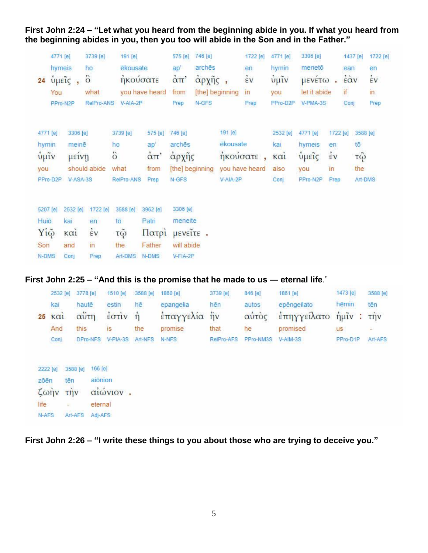**First John 2:24 – "Let what you heard from the beginning abide in you. If what you heard from the beginning abides in you, then you too will abide in the Son and in the Father."**

| 4771 [e]<br>hymeis<br>24<br>You | $ύ\mu ε$ $\tilde{i}$ ς,<br>PPro-N2P | 3739 [e]<br>ho<br>$\ddot{\circ}$<br>what<br>RelPro-ANS | 191 [e]<br>ēkousate.<br>ήκούσατε<br>$V- AIA-2P$ | you have heard | 575 [e]<br>ap'<br>$\alpha$ <sup><math>\pi</math></sup><br>from<br>Prep | 746 [e]<br>archēs<br>άρχῆς<br>N-GFS | [the] beginning | 1722 [e]<br>en<br>$\dot{\varepsilon}$ v<br>$\mathsf{In}$<br>Prep | 4771 [e]<br>hymin<br>$\tilde{\psi}$ μῖν<br>you<br>PPro-D2P | 3306 [e]<br>menetō<br>μενέτω<br>let it abide<br>V-PMA-3S | $\mathbf{r}$ | 1437 [e]<br>ean<br>$\ddot{\epsilon}$ àv<br>if<br>Conj | 1722 [e]<br>en<br>έv<br>in.<br>Prep |
|---------------------------------|-------------------------------------|--------------------------------------------------------|-------------------------------------------------|----------------|------------------------------------------------------------------------|-------------------------------------|-----------------|------------------------------------------------------------------|------------------------------------------------------------|----------------------------------------------------------|--------------|-------------------------------------------------------|-------------------------------------|
| 4771 [e]                        | 3306 [e]                            |                                                        | 3739 [e]                                        | 575 [e]        | 746 [e]                                                                |                                     | 191 [e]         |                                                                  | 2532 [e]                                                   | 4771 [e]                                                 | 1722 [e]     | 3588 [e]                                              |                                     |
| hymin                           | meinē                               |                                                        | ho                                              | ap'            | arches                                                                 |                                     | ēkousate        |                                                                  | kai                                                        | hymeis                                                   | en           | tō                                                    |                                     |
| $\frac{1}{\psi}$ μῖν            | μεινη                               |                                                        | ts.<br>$\circ$                                  | $\alpha \pi$ ' | άρχης                                                                  |                                     | ηκουσατε        |                                                                  | K <sub>α1</sub>                                            | <i>υμείς</i>                                             | έV           | $\tau\ddot{\omega}$                                   |                                     |
| vou                             |                                     | should abide                                           | what                                            | from           |                                                                        | [the] beginning                     |                 | you have heard                                                   | also                                                       | you                                                      | in           | the                                                   |                                     |
| PPro-D2P                        | V-ASA-3S                            |                                                        | RelPro-ANS                                      | Prep           | N-GFS                                                                  |                                     | V-AIA-2P        |                                                                  | Conj                                                       | PPro-N2P                                                 | Prep.        |                                                       | Art-DMS                             |
| 5207 [e]                        | 2532 [e]                            | 1722 [e]                                               | 3588 [e]                                        | 3962 [e]       | 3306 [e]                                                               |                                     |                 |                                                                  |                                                            |                                                          |              |                                                       |                                     |
| Huiō                            | kai                                 | en                                                     | tō                                              | Patri          | meneite                                                                |                                     |                 |                                                                  |                                                            |                                                          |              |                                                       |                                     |
| Yiệ                             | $K\alpha$ <sub>1</sub>              | EV                                                     | τῷ                                              | Πατρί          | μενεΐτε.                                                               |                                     |                 |                                                                  |                                                            |                                                          |              |                                                       |                                     |
| Son                             | and                                 | in                                                     | the                                             | Father         | will abide                                                             |                                     |                 |                                                                  |                                                            |                                                          |              |                                                       |                                     |
| N-DMS                           | Conj                                | Prep                                                   | Art-DMS                                         | N-DMS          | V-FIA-2P                                                               |                                     |                 |                                                                  |                                                            |                                                          |              |                                                       |                                     |

### **First John 2:25 – "And this is the promise that he made to us — eternal life**."

|                | 2532 [e] 3778 [e] | 1510 [e] 3588 [e]                                                    |               | 1860 [e]     | 3739 [e]   | 846 [e]            | 1861 [e]                    | 1473 [e]  | 3588 [e] |
|----------------|-------------------|----------------------------------------------------------------------|---------------|--------------|------------|--------------------|-----------------------------|-----------|----------|
| kai            | haute             | estin                                                                | hē            | epangelia    | hên        | autos              | epēngeilato                 | hēmin     | tēn      |
| $25 \text{ K}$ | αύτη              | $\frac{2}{2}$ $\sigma$ $\frac{1}{2}$ $\sigma$ $\frac{1}{2}$ $\sigma$ |               | έπαγγελία ήν |            |                    | αύτος έπηγγείλατο ήμιν: την |           |          |
| And            | this              | IS <sup></sup>                                                       | the           | promise      | that       | he                 | promised                    | <b>US</b> |          |
| Conj           | DPro-NFS          | $V-PIA-3S$                                                           | Art-NFS N-NFS |              | RelPro-AFS | PPro-NM3S V-AIM-3S |                             | PPro-D1P  | Art-AFS  |
|                |                   |                                                                      |               |              |            |                    |                             |           |          |

2222 [e] 3588 [e] 166 [e] zōēn tēn aionion ζωήν την αιώνιον. eternal life  $\sim$ N-AFS Art-AFS Adj-AFS

**First John 2:26 – "I write these things to you about those who are trying to deceive you."**